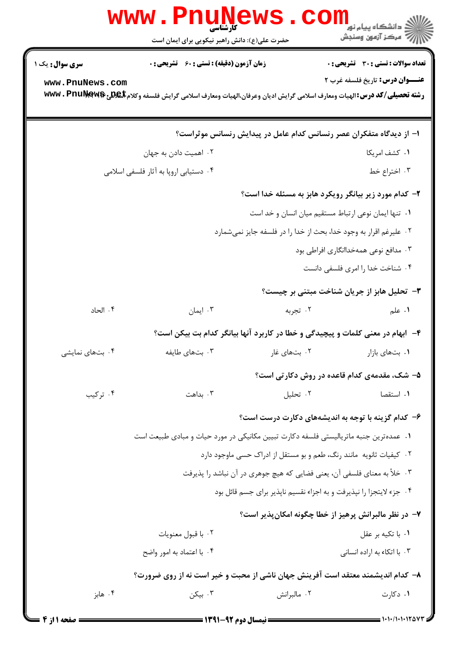|                                                      | WWW<br>حضرت علی(ع): دانش راهبر نیکویی برای ایمان است                                                                                |              | <mark>ڪ</mark> دانشڪاه پيام نو <mark>ر</mark><br>أأزأته مركز آزمون وسنجش |  |  |
|------------------------------------------------------|-------------------------------------------------------------------------------------------------------------------------------------|--------------|--------------------------------------------------------------------------|--|--|
| <b>سری سوال :</b> یک ۱                               | <b>زمان آزمون (دقیقه) : تستی : 60 ٪ تشریحی : 0</b>                                                                                  |              | تعداد سوالات : تستي : 30 ٪ تشريحي : 0                                    |  |  |
| www.PnuNews.com                                      | رشته تحصیلی/کد درس:الهیات ومعارف اسلامی گرایش ادیان وعرفان،الهیات ومعارف اسلامی گرایش فلسفه وکلام <b>تلهی تکهکلیالwwv . PnuNews</b> |              | <b>عنـــوان درس:</b> تاريخ فلسفه غرب ۲                                   |  |  |
|                                                      | ا– از دیدگاه متفکران عصر رنسانس کدام عامل در پیدایش رنسانس موثراست؟                                                                 |              |                                                                          |  |  |
|                                                      | ۰۲ اهمیت دادن به جهان                                                                                                               |              | ٠١ كشف امريكا                                                            |  |  |
|                                                      | ۰۴ دستیابی اروپا به آثار فلسفی اسلامی                                                                                               |              | ۰۳ اختراع خط                                                             |  |  |
|                                                      |                                                                                                                                     |              | ۲- کدام مورد زیر بیانگر رویکرد هابز به مسئله خدا است؟                    |  |  |
| ٠١ تنها ايمان نوعي ارتباط مستقيم ميان انسان و خد است |                                                                                                                                     |              |                                                                          |  |  |
|                                                      |                                                                                                                                     |              | ۰۲ علیرغم اقرار به وجود خدا، بحث از خدا را در فلسفه جایز نمیشمارد        |  |  |
|                                                      |                                                                                                                                     |              | ۰۳ مدافع نوعی همهخداانگاری افراطی بود                                    |  |  |
|                                                      |                                                                                                                                     |              | ۰۴ شناخت خدا را امری فلسفی دانست                                         |  |  |
|                                                      |                                                                                                                                     |              | ۳- تحلیل هابز از جریان شناخت مبتنی بر چیست؟                              |  |  |
| ۰۴ الحاد                                             | ۰۳ ایمان                                                                                                                            | ۰۲ تجربه     | ۰۱ علم                                                                   |  |  |
|                                                      | ۴-۔ ابهام در معنی کلمات و پیچیدگی و خطا در کاربرد آنها بیانگر کدام بت بیکن است؟                                                     |              |                                                                          |  |  |
| ۰۴ بتهای نمایشی                                      | ۰۳ بتهای طایفه                                                                                                                      | ۰۲ بتهای غار | ۰۱ بتهای بازار                                                           |  |  |
|                                                      |                                                                                                                                     |              | ۵- شک، مقدمهی کدام قاعده در روش دکارتی است؟                              |  |  |
| ۰۴ ترکیب                                             | ۰۳ بداهت                                                                                                                            | ۰۲ تحلیل     | ٠١. استقصا                                                               |  |  |
|                                                      |                                                                                                                                     |              | ۶- کدام گزینه با توجه به اندیشههای دکارت درست است؟                       |  |  |
|                                                      | ۰۱ عمده ترین جنبه ماتریالیستی فلسفه دکارت تبیین مکانیکی در مورد حیات و مبادی طبیعت است                                              |              |                                                                          |  |  |
|                                                      |                                                                                                                                     |              | ٠٢ كيفيات ثانويه مانند رنگ، طعم و بو مستقل از ادراك حسى ماوجود دارد      |  |  |
|                                                      | ۰۳ خلأ به معناي فلسفي آن، يعني فضايي كه هيچ جوهري در آن نباشد را پذيرفت                                                             |              |                                                                          |  |  |
|                                                      |                                                                                                                                     |              | ۰۴ جزء لایتجزا را نپذیرفت و به اجزاء نقسیم ناپذیر برای جسم قائل بود      |  |  |
|                                                      |                                                                                                                                     |              | ۷– در نظر مالبرانش پرهیز از خطا چگونه امکان پذیر است؟                    |  |  |
|                                                      | ۰۲ با قبول معنويات                                                                                                                  |              | ٠١. با تكيه بر عقل                                                       |  |  |
|                                                      | ۰۴ با اعتماد به امور واضح                                                                                                           |              | ۰۳ با اتکاء به اراده انسانی                                              |  |  |
|                                                      | ۸– کدام اندیشمند معتقد است آفرینش جهان ناشی از محبت و خیر است نه از روی ضرورت؟                                                      |              |                                                                          |  |  |
| ۰۴ هابز                                              | ۰۳ بیکن                                                                                                                             | ۰۲ مالبرانش  | ۰۱ دکارت                                                                 |  |  |
|                                                      |                                                                                                                                     |              |                                                                          |  |  |

صفحه 1 از 4 =

 $= 1.1 - 11.1 + 1100$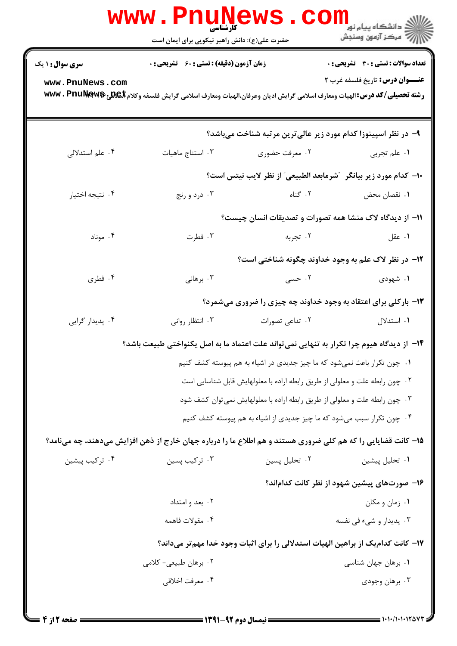|                                                                                           | WWW.PN<br>کارشناسی<br>حضرت علی(ع): دانش راهبر نیکویی برای ایمان است        |                 | الاد دانشگاه پيام نور<br>الاد مرکز آزمون وسنجش                                                                                                             |  |
|-------------------------------------------------------------------------------------------|----------------------------------------------------------------------------|-----------------|------------------------------------------------------------------------------------------------------------------------------------------------------------|--|
| <b>سری سوال : ۱ یک</b>                                                                    | <b>زمان آزمون (دقیقه) : تستی : 60 ٪ تشریحی : 0</b>                         |                 | تعداد سوالات : تستي : 30 - تشريحي : 0                                                                                                                      |  |
| www.PnuNews.com                                                                           |                                                                            |                 | <b>عنـــوان درس:</b> تاريخ فلسفه غرب ٢<br>رشته تحصیلی/کد درس: الهیات ومعارف اسلامی گرایش ادیان وعرفان،الهیات ومعارف اسلامی گرایش فلسفه وکلام www . PnuŊewß |  |
|                                                                                           |                                                                            |                 | ۹- در نظر اسپینوزا کدام مورد زیر عالیترین مرتبه شناخت میباشد؟                                                                                              |  |
| ۰۴ علم استدلالی                                                                           | ۰۳ استناج ماهيات                                                           | ۰۲ معرفت حضوری  | ٠١ علم تجربي                                                                                                                                               |  |
|                                                                                           |                                                                            |                 | ∙ا− كدام مورد زير بيانگر ″شرمابعد الطبيعي″ از نظر لايب نيتس است؟                                                                                           |  |
| ۰۴ نتيجه اختيار                                                                           | ۰۳ درد و رنج                                                               | ۲. گناه         | ٠١ نقصان محض                                                                                                                                               |  |
|                                                                                           |                                                                            |                 | 11- از دیدگاه لاک منشا همه تصورات و تصدیقات انسان چیست؟                                                                                                    |  |
| ۰۴ موناد                                                                                  | ۰۳ فطرت                                                                    | ۰۲ تجربه        | ۰۱ عقل                                                                                                                                                     |  |
|                                                                                           |                                                                            |                 | ۱۲- در نظر لاک علم به وجود خداوند چگونه شناختی است؟                                                                                                        |  |
| ۰۴ فطری                                                                                   | ۰۳ برهانی                                                                  | ۰۲ حسی          | ۰۱ شهودی                                                                                                                                                   |  |
|                                                                                           |                                                                            |                 | ۱۳- بارکلی برای اعتقاد به وجود خداوند چه چیزی را ضروری میشمرد؟                                                                                             |  |
| ۰۴ پدیدار گرایی                                                                           | ۰۳ انتظار روانی                                                            | ۰۲ تداعی تصورات | ۰۱ استدلال                                                                                                                                                 |  |
| ۱۴– از دیدگاه هیوم چرا تکرار به تنهایی نمیتواند علت اعتماد ما به اصل یکنواختی طبیعت باشد؟ |                                                                            |                 |                                                                                                                                                            |  |
| ۰۱ چون تکرار باعث نمیشود که ما چیز جدیدی در اشیاء به هم پیوسته کشف کنیم                   |                                                                            |                 |                                                                                                                                                            |  |
|                                                                                           |                                                                            |                 | ۰۲ چون رابطه علت و معلولی از طریق رابطه اراده با معلولهایش قابل شناسایی است                                                                                |  |
|                                                                                           | ۰۳ چون رابطه علت و معلولی از طریق رابطه اراده با معلولهایش نمیتوان کشف شود |                 |                                                                                                                                                            |  |
|                                                                                           |                                                                            |                 | ۰۴ چون تکرار سبب میشود که ما چیز جدیدی از اشیاء به هم پیوسته کشف کنیم                                                                                      |  |
|                                                                                           |                                                                            |                 | ۱۵– کانت قضایایی را که هم کلی ضروری هستند و هم اطلاع ما را درباره جهان خارج از ذهن افزایش میدهند، چه مینامد؟                                               |  |
| ۰۴ ترکیب پیشین                                                                            | ۰۳ ترکیب پسین                                                              | ۰۲ تحلیل پسین   | ٠١ تحليل پيشين                                                                                                                                             |  |
|                                                                                           |                                                                            |                 | ۱۶– صورتهای پیشین شهود از نظر کانت کداماند؟                                                                                                                |  |
|                                                                                           | ۰۲ بعد و امتداد                                                            |                 | ۰۱ زمان و مکان                                                                                                                                             |  |
|                                                                                           | ۰۴ مقولات فاهمه                                                            |                 | ۰۳ پدیدار و شيء في نفسه                                                                                                                                    |  |
|                                                                                           |                                                                            |                 | ۱۷– کانت کدام یک از براهین الهیات استدلالی را برای اثبات وجود خدا مهم تر میداند؟                                                                           |  |
|                                                                                           | ۰۲ برهان طبیعی- کلامی                                                      |                 | ۰۱ برهان جهان شناسی                                                                                                                                        |  |
|                                                                                           | ۰۴ معرفت اخلاقي                                                            |                 | ۰۳ برهان وجودي                                                                                                                                             |  |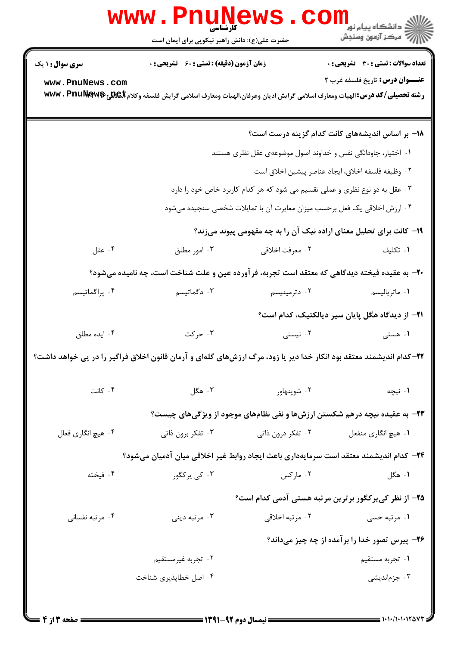|                                                                                                                    | <b>www.rnune</b><br>کارشناسی<br>حضرت علی(ع): دانش راهبر نیکویی برای ایمان است                                                |                                                              |                                                                           |  |  |
|--------------------------------------------------------------------------------------------------------------------|------------------------------------------------------------------------------------------------------------------------------|--------------------------------------------------------------|---------------------------------------------------------------------------|--|--|
| <b>سری سوال :</b> ۱ یک                                                                                             | <b>زمان آزمون (دقیقه) : تستی : 60 ٪ تشریحی : 0</b>                                                                           |                                                              | <b>تعداد سوالات : تستی : 30 ٪ تشریحی : 0</b>                              |  |  |
| www.PnuNews.com                                                                                                    | رشته تحصیلی/کد درس: الهیات ومعارف اسلامی گرایش ادیان وعرفان،الهیات ومعارف اسلامی گرایش فلسفه وکلام <b>BC#یچ@wwv . PnuNew</b> |                                                              | <b>عنـــوان درس:</b> تاریخ فلسفه غرب ۲                                    |  |  |
|                                                                                                                    |                                                                                                                              |                                                              | ۱۸– بر اساس اندیشههای کانت کدام گزینه درست است؟                           |  |  |
|                                                                                                                    |                                                                                                                              | ۰۱ اختیار، جاودانگی نفس و خداوند اصول موضوعهی عقل نظری هستند |                                                                           |  |  |
|                                                                                                                    |                                                                                                                              |                                                              | ٠٢ وظيفه فلسفه اخلاق، ايجاد عناصر پيشين اخلاق است                         |  |  |
|                                                                                                                    | ۰۳ عقل به دو نوع نظری و عملی تقسیم می شود که هر کدام کاربرد خاص خود را دارد                                                  |                                                              |                                                                           |  |  |
| ۰۴ ارزش اخلاقی یک فعل برحسب میزان مغایرت آن با تمایلات شخصی سنجیده میشود                                           |                                                                                                                              |                                                              |                                                                           |  |  |
|                                                                                                                    |                                                                                                                              |                                                              | ۱۹- کانت برای تحلیل معنای اراده نیک آن را به چه مفهومی پیوند میزند؟       |  |  |
| ۰۴ عقل                                                                                                             | ۰۳ امور مطلق                                                                                                                 | ۰۲ معرفت اخلاقي                                              | ۰۱ تکلیف                                                                  |  |  |
|                                                                                                                    | +۲- به عقیده فیخته دیدگاهی که معتقد است تجربه، فرآورده عین و علت شناخت است، چه نامیده میشود؟                                 |                                                              |                                                                           |  |  |
| ۰۴ پراگماتیسم                                                                                                      | ۰۳ دگماتیسم                                                                                                                  | ۰۲ دترمینیسم                                                 | ۰۱ ماترياليسم                                                             |  |  |
|                                                                                                                    |                                                                                                                              |                                                              | <b>٢١</b> - از ديدگاه هگل پايان سير ديالكتيک، كدام است؟                   |  |  |
| ۰۴ ایده مطلق                                                                                                       | ۰۳ حرکت                                                                                                                      | ۰۲ نیستی                                                     | ۰۱ هستی                                                                   |  |  |
| ۲۲–کدام اندیشمند معتقد بود انکار خدا دیر یا زود، مرگ ارزشهای گلهای و آرمان قانون اخلاق فراگیر را در پی خواهد داشت؟ |                                                                                                                              |                                                              |                                                                           |  |  |
| ۰۴ کانت                                                                                                            | ۰۳ هگل                                                                                                                       | ۰۲ شوپنهاور                                                  | ۰۱ نیچه                                                                   |  |  |
|                                                                                                                    |                                                                                                                              |                                                              | ۲۳- به عقیده نیچه درهم شکستن ارزشها و نفی نظامهای موجود از ویژگیهای چیست؟ |  |  |
| ۰۴ هيچ انگاري فعال                                                                                                 | ۰۳ تفکر برون ذاتی                                                                                                            | ۲. تفکر درون ذاتی                                            | ۰۱ هيچ انگاري منفعل                                                       |  |  |
|                                                                                                                    | ۲۴– کدام اندیشمند معتقد است سرمایهداری باعث ایجاد روابط غیر اخلاقی میان آدمیان میشود؟                                        |                                                              |                                                                           |  |  |
| ۰۴ فیخته                                                                                                           | ۰۳ کی پرکگور                                                                                                                 | ۰۲ مارکس                                                     | ۰۱ هگل                                                                    |  |  |
|                                                                                                                    |                                                                                                                              |                                                              | ۲۵– از نظر کی برکگور برترین مرتبه هستی آدمی کدام است؟                     |  |  |
| ۰۴ مرتبه نفسانی                                                                                                    | ۰۳ مرتبه ديني                                                                                                                | ۰۲ مرتبه اخلاقی                                              | ۰۱ مرتبه حسی                                                              |  |  |
| ۲۶- پیرس تصور خدا را برآمده از چه چیز میداند؟                                                                      |                                                                                                                              |                                                              |                                                                           |  |  |
|                                                                                                                    | ۰۲ تجربه غیرمستقیم                                                                                                           |                                                              | ۰۱ تجربه مستقيم                                                           |  |  |
|                                                                                                                    | ۰۴ اصل خطاپذیری شناخت                                                                                                        |                                                              | ۰۳ جزماندیشی                                                              |  |  |
|                                                                                                                    |                                                                                                                              |                                                              |                                                                           |  |  |